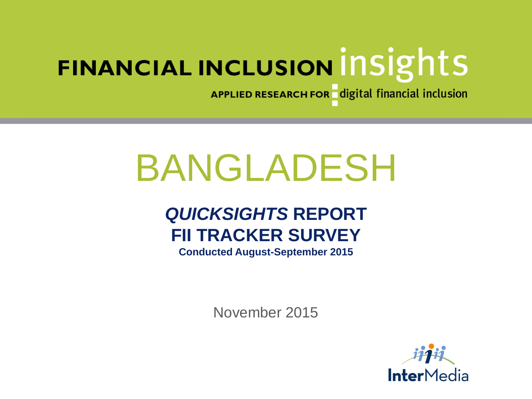APPLIED RESEARCH FOR digital financial inclusion

# BANGLADESH

# *QUICKSIGHTS* **REPORT FII TRACKER SURVEY**

**Conducted August-September 2015**

November 2015

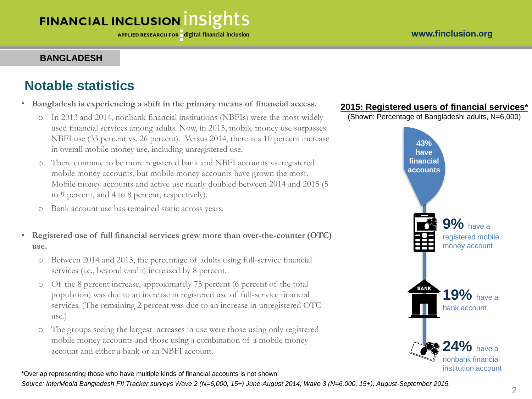#### **BANGLADESH**

#### **Notable statistics**

- **Bangladesh is experiencing a shift in the primary means of financial access.**
	- o In 2013 and 2014, nonbank financial institutions (NBFIs) were the most widely used financial services among adults. Now, in 2015, mobile money use surpasses NBFI use (33 percent vs. 26 percent). Versus 2014, there is a 10 percent increase in overall mobile money use, including unregistered use.
	- o There continue to be more registered bank and NBFI accounts vs. registered mobile money accounts, but mobile money accounts have grown the most. Mobile money accounts and active use nearly doubled between 2014 and 2015 (5 to 9 percent, and 4 to 8 percent, respectively).
	- o Bank account use has remained static across years.
- **Registered use of full financial services grew more than over-the-counter (OTC) use.**
	- o Between 2014 and 2015, the percentage of adults using full-service financial services (i.e., beyond credit) increased by 8 percent.
	- o Of the 8 percent increase, approximately 75 percent (6 percent of the total population) was due to an increase in registered use of full-service financial services. (The remaining 2 percent was due to an increase in unregistered OTC use.)
	- o The groups seeing the largest increases in use were those using only registered mobile money accounts and those using a combination of a mobile money account and either a bank or an NBFI account.

**2015: Registered users of financial services\***

(Shown: Percentage of Bangladeshi adults, N=6,000)



\*Overlap representing those who have multiple kinds of financial accounts is not shown.

*Source: InterMedia Bangladesh FII Tracker surveys Wave 2 (N=6,000, 15+) June-August 2014; Wave 3 (N=6,000, 15+), August-September 2015.*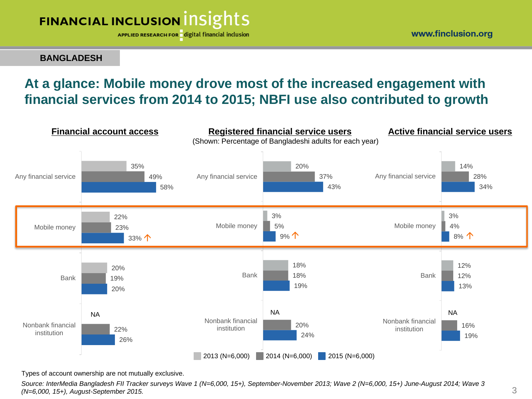APPLIED RESEARCH FOR digital financial inclusion

**BANGLADESH**

## **At a glance: Mobile money drove most of the increased engagement with financial services from 2014 to 2015; NBFI use also contributed to growth**



Types of account ownership are not mutually exclusive.

*Source: InterMedia Bangladesh FII Tracker surveys Wave 1 (N=6,000, 15+), September-November 2013; Wave 2 (N=6,000, 15+) June-August 2014; Wave 3 (N=6,000, 15+), August-September 2015.*

www.finclusion.org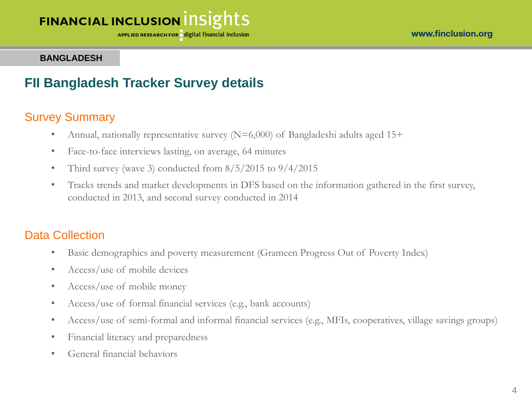APPLIED RESEARCH FOR digital financial inclusion

#### **BANGLADESH**

#### **FII Bangladesh Tracker Survey details**

#### Survey Summary

- Annual, nationally representative survey  $(N=6,000)$  of Bangladeshi adults aged 15+
- Face-to-face interviews lasting, on average, 64 minutes
- Third survey (wave 3) conducted from  $8/5/2015$  to  $9/4/2015$
- Tracks trends and market developments in DFS based on the information gathered in the first survey, conducted in 2013, and second survey conducted in 2014

#### Data Collection

- Basic demographics and poverty measurement (Grameen Progress Out of Poverty Index)
- Access/use of mobile devices
- Access/use of mobile money
- Access/use of formal financial services (e.g., bank accounts)
- Access/use of semi-formal and informal financial services (e.g., MFIs, cooperatives, village savings groups)
- Financial literacy and preparedness
- General financial behaviors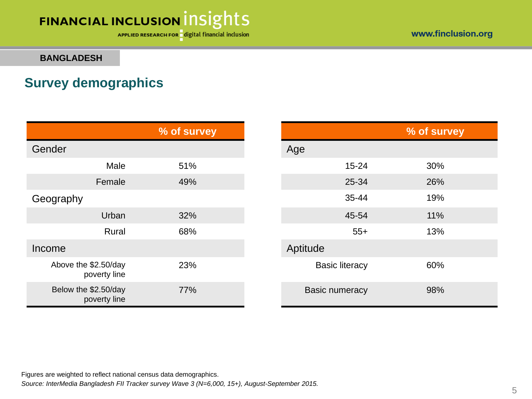APPLIED RESEARCH FOR digital financial inclusion

www.finclusion.org

#### **BANGLADESH**

#### **Survey demographics**

|                                      | % of survey |                       | % of survey |
|--------------------------------------|-------------|-----------------------|-------------|
| Gender                               |             | Age                   |             |
| Male                                 | 51%         | $15 - 24$             | 30%         |
| Female                               | 49%         | 25-34                 | 26%         |
| Geography                            |             | 35-44                 | 19%         |
| Urban                                | 32%         | 45-54                 | 11%         |
| Rural                                | 68%         | $55+$                 | 13%         |
| Income                               |             | Aptitude              |             |
| Above the \$2.50/day<br>poverty line | 23%         | <b>Basic literacy</b> | 60%         |
| Below the \$2.50/day<br>poverty line | 77%         | <b>Basic numeracy</b> | 98%         |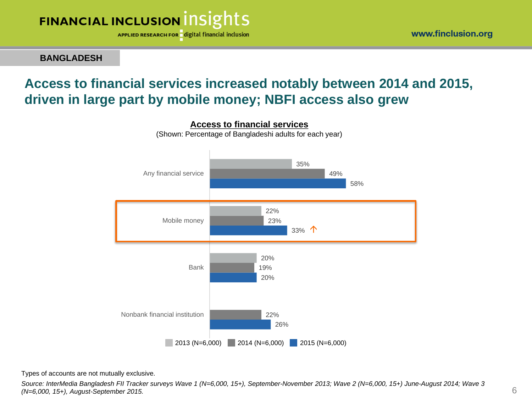

**BANGLADESH**

#### **Access to financial services increased notably between 2014 and 2015, driven in large part by mobile money; NBFI access also grew**



**Access to financial services** (Shown: Percentage of Bangladeshi adults for each year)

Types of accounts are not mutually exclusive.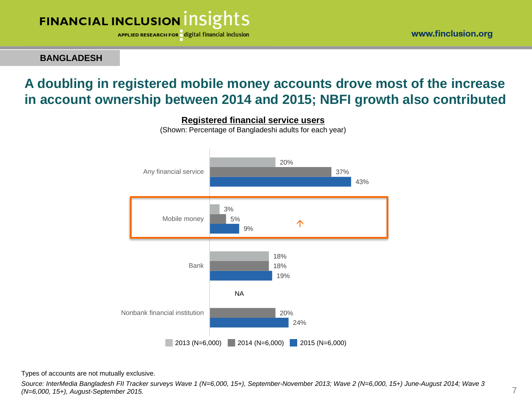APPLIED RESEARCH FOR digital financial inclusion

**BANGLADESH**

## **A doubling in registered mobile money accounts drove most of the increase in account ownership between 2014 and 2015; NBFI growth also contributed**



**Registered financial service users**

(Shown: Percentage of Bangladeshi adults for each year)

Types of accounts are not mutually exclusive.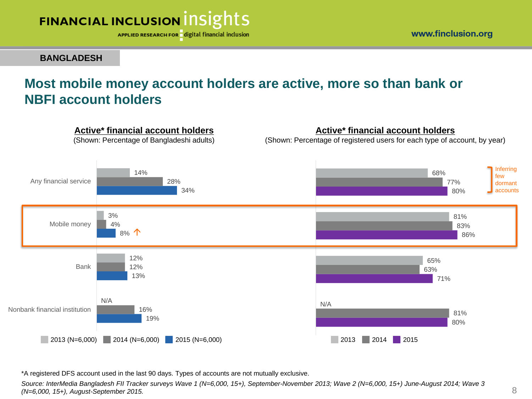

www.finclusion.org

#### **BANGLADESH**

## **Most mobile money account holders are active, more so than bank or NBFI account holders**



\*A registered DFS account used in the last 90 days. Types of accounts are not mutually exclusive.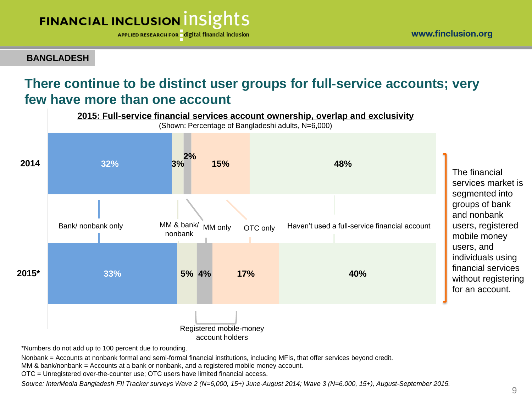APPLIED RESEARCH FOR digital financial inclusion

**BANGLADESH**

## **There continue to be distinct user groups for full-service accounts; very few have more than one account**



\*Numbers do not add up to 100 percent due to rounding.

Nonbank = Accounts at nonbank formal and semi-formal financial institutions, including MFIs, that offer services beyond credit.

MM & bank/nonbank = Accounts at a bank or nonbank, and a registered mobile money account.

OTC = Unregistered over-the-counter use; OTC users have limited financial access.

*Source: InterMedia Bangladesh FII Tracker surveys Wave 2 (N=6,000, 15+) June-August 2014; Wave 3 (N=6,000, 15+), August-September 2015.*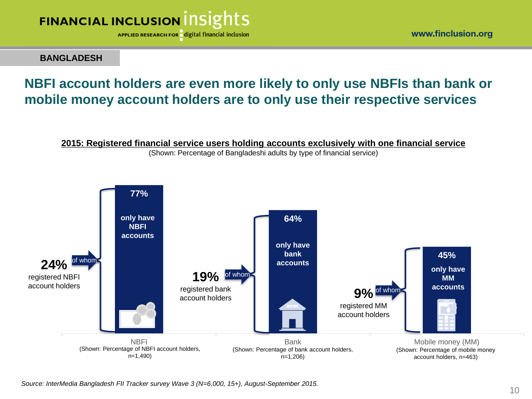

www.finclusion.org

**BANGLADESH**

## **NBFI account holders are even more likely to only use NBFIs than bank or mobile money account holders are to only use their respective services**



(Shown: Percentage of Bangladeshi adults by type of financial service)

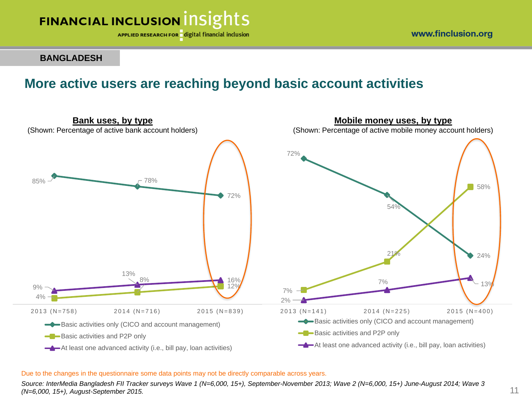

**BANGLADESH**

#### **More active users are reaching beyond basic account activities**



#### Due to the changes in the questionnaire some data points may not be directly comparable across years.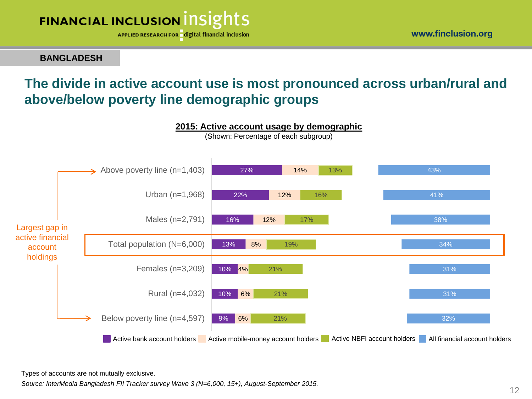

**BANGLADESH**

## **The divide in active account use is most pronounced across urban/rural and above/below poverty line demographic groups**



Types of accounts are not mutually exclusive.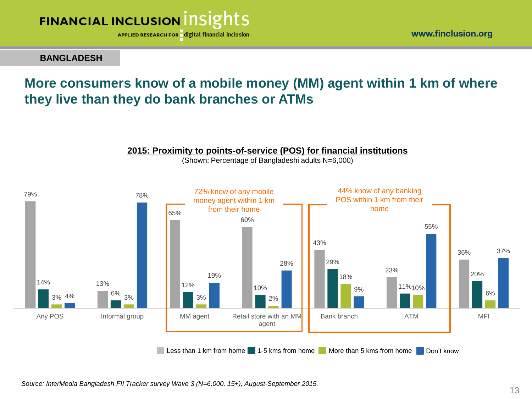

www.finclusion.org

#### **BANGLADESH**

## **More consumers know of a mobile money (MM) agent within 1 km of where they live than they do bank branches or ATMs**



**2015: Proximity to points-of-service (POS) for financial institutions**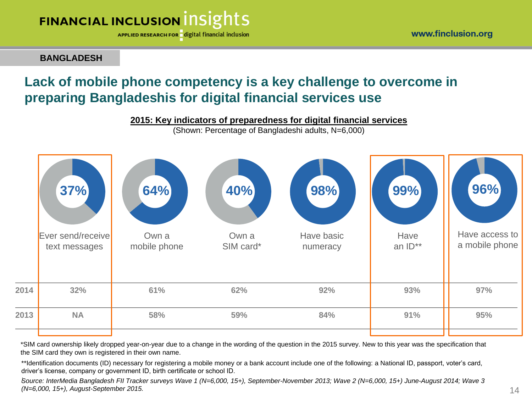APPLIED RESEARCH FOR digital financial inclusion

**BANGLADESH**

## **Lack of mobile phone competency is a key challenge to overcome in preparing Bangladeshis for digital financial services use**



(Shown: Percentage of Bangladeshi adults, N=6,000)

|      | 37%<br>Ever send/receive<br>text messages | 64%<br>Own a<br>mobile phone | 40%<br>Own a<br>SIM card* | 98%<br>Have basic<br>numeracy | 99%<br>Have<br>an ID** | 96%<br>Have access to<br>a mobile phone |
|------|-------------------------------------------|------------------------------|---------------------------|-------------------------------|------------------------|-----------------------------------------|
| 2014 | 32%                                       | 61%                          | 62%                       | 92%                           | 93%                    | 97%                                     |
| 2013 | <b>NA</b>                                 | 58%                          | 59%                       | 84%                           | 91%                    | 95%                                     |
|      |                                           |                              |                           |                               |                        |                                         |

\*SIM card ownership likely dropped year-on-year due to a change in the wording of the question in the 2015 survey. New to this year was the specification that the SIM card they own is registered in their own name.

\*\*Identification documents (ID) necessary for registering a mobile money or a bank account include one of the following: a National ID, passport, voter's card, driver's license, company or government ID, birth certificate or school ID.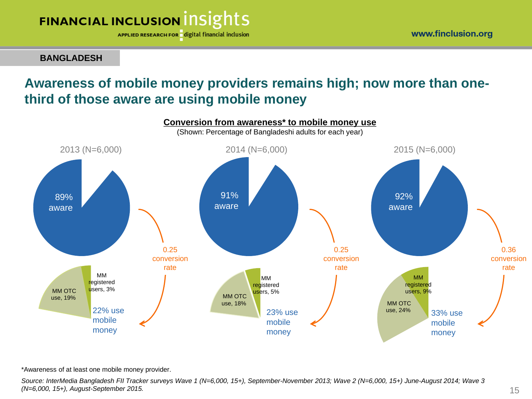APPLIED RESEARCH FOR digital financial inclusion

**BANGLADESH**

## **Awareness of mobile money providers remains high; now more than onethird of those aware are using mobile money**



\*Awareness of at least one mobile money provider.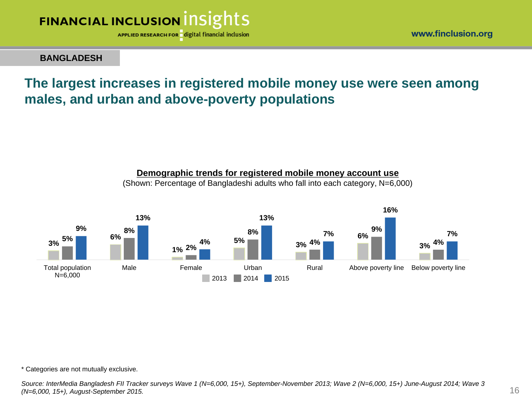

**BANGLADESH**

#### **The largest increases in registered mobile money use were seen among males, and urban and above-poverty populations**



**Demographic trends for registered mobile money account use**  (Shown: Percentage of Bangladeshi adults who fall into each category, N=6,000)

\* Categories are not mutually exclusive.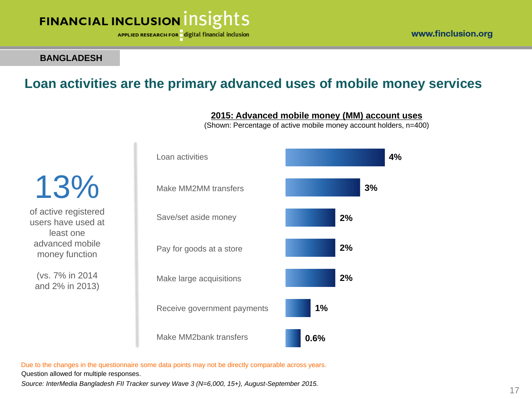APPLIED RESEARCH FOR digital financial inclusion

#### **BANGLADESH**

#### **Loan activities are the primary advanced uses of mobile money services**



**2015: Advanced mobile money (MM) account uses**

(Shown: Percentage of active mobile money account holders, n=400)

Due to the changes in the questionnaire some data points may not be directly comparable across years.

Question allowed for multiple responses.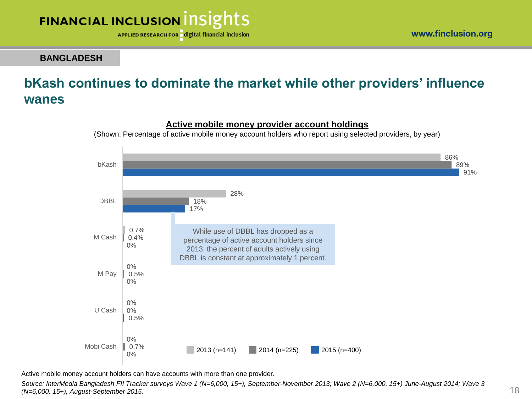

www.finclusion.org

**BANGLADESH**

## **bKash continues to dominate the market while other providers' influence wanes**



#### **Active mobile money provider account holdings**

(Shown: Percentage of active mobile money account holders who report using selected providers, by year)

Active mobile money account holders can have accounts with more than one provider.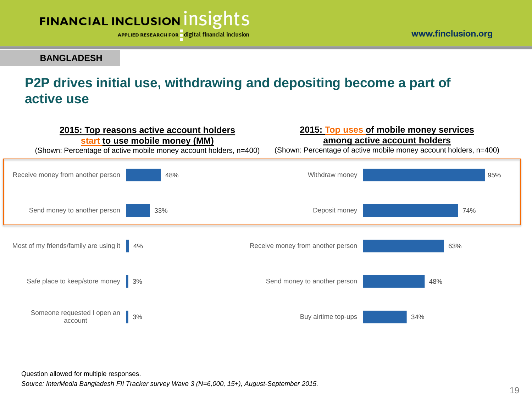

www.finclusion.org

#### **BANGLADESH**

## **P2P drives initial use, withdrawing and depositing become a part of active use**



Question allowed for multiple responses.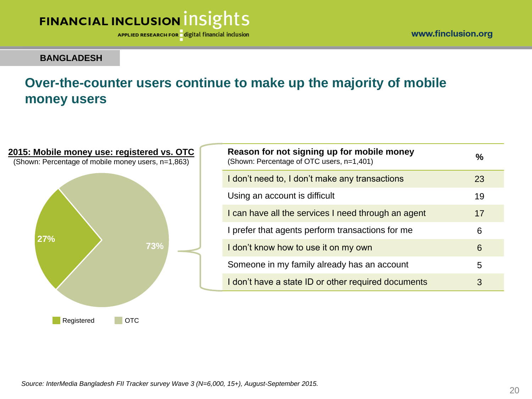APPLIED RESEARCH FOR digital financial inclusion

www.finclusion.org

#### **BANGLADESH**

## **Over-the-counter users continue to make up the majority of mobile money users**

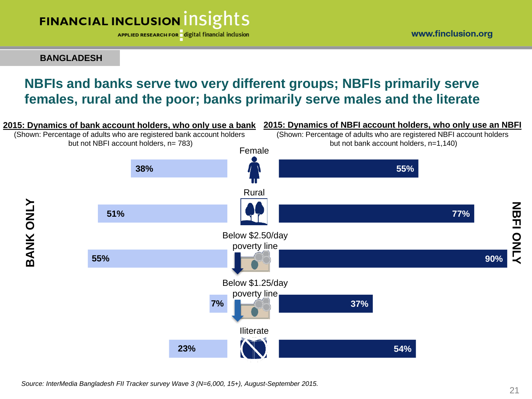APPLIED RESEARCH FOR digital financial inclusion

**BANGLADESH**

## **NBFIs and banks serve two very different groups; NBFIs primarily serve females, rural and the poor; banks primarily serve males and the literate**

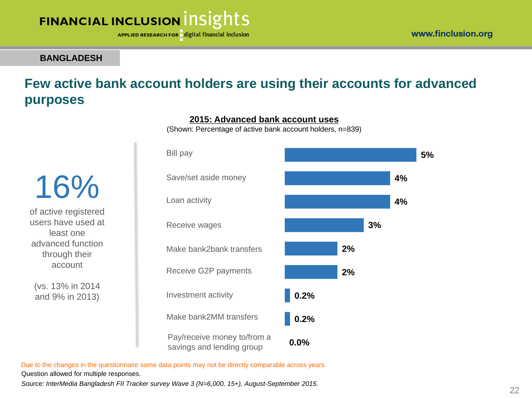**5%**

# **FINANCIAL INCLUSION INSIGHTS**

APPLIED RESEARCH FOR digital financial inclusion

#### **BANGLADESH**

## **Few active bank account holders are using their accounts for advanced purposes**

**4% 4% 3% 2% 2% 0.2% 0.2% 0.0%** Investment activity Save/set aside money Bill pay Receive wages Loan activity Make bank2bank transfers Receive G2P payments Pay/receive money to/from a savings and lending group Make bank2MM transfers

**2015: Advanced bank account uses** (Shown: Percentage of active bank account holders, n=839)

of active registered users have used at least one advanced function through their account

16%

(vs. 13% in 2014 and 9% in 2013)

Due to the changes in the questionnaire some data points may not be directly comparable across years.

Question allowed for multiple responses.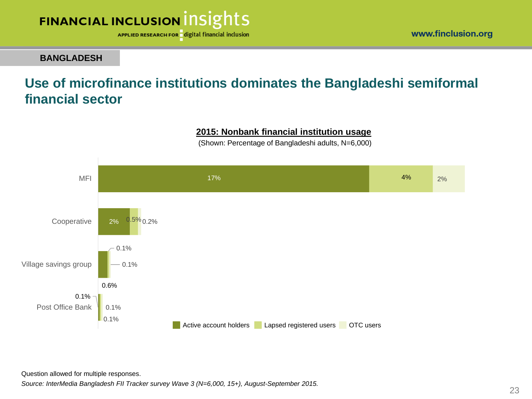

www.finclusion.org

#### **BANGLADESH**

#### **Use of microfinance institutions dominates the Bangladeshi semiformal financial sector**

#### **2015: Nonbank financial institution usage**

(Shown: Percentage of Bangladeshi adults, N=6,000)



Question allowed for multiple responses.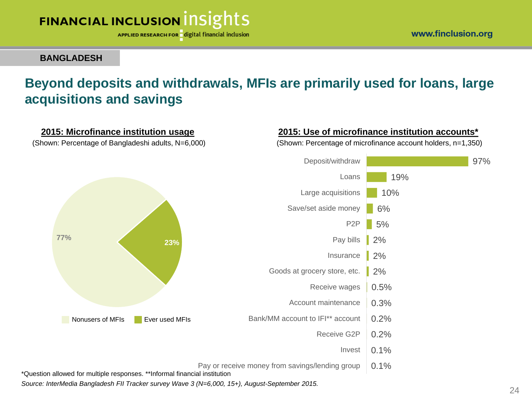

www.finclusion.org

**BANGLADESH**

## **Beyond deposits and withdrawals, MFIs are primarily used for loans, large acquisitions and savings**



24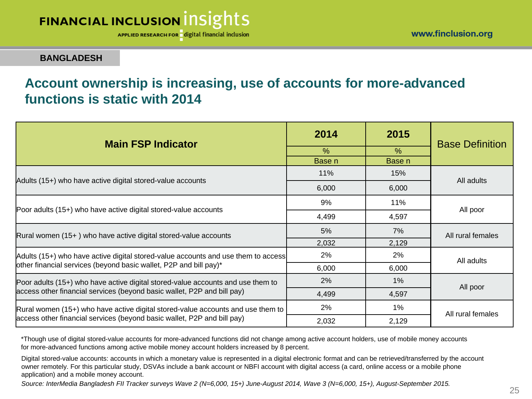APPLIED RESEARCH FOR digital financial inclusion

**BANGLADESH**

#### **Account ownership is increasing, use of accounts for more-advanced functions is static with 2014**

| <b>Main FSP Indicator</b>                                                         | 2014   | 2015   | <b>Base Definition</b> |
|-----------------------------------------------------------------------------------|--------|--------|------------------------|
|                                                                                   | $\%$   | $\%$   |                        |
|                                                                                   | Base n | Base n |                        |
| Adults (15+) who have active digital stored-value accounts                        | 11%    | 15%    | All adults             |
|                                                                                   | 6,000  | 6,000  |                        |
|                                                                                   | 9%     | 11%    | All poor               |
| Poor adults (15+) who have active digital stored-value accounts                   | 4,499  | 4,597  |                        |
| $Rural women (15+) who have active digital stored-value accounts$                 | 5%     | 7%     | All rural females      |
|                                                                                   | 2,032  | 2,129  |                        |
| Adults (15+) who have active digital stored-value accounts and use them to access | 2%     | $2\%$  | All adults             |
| other financial services (beyond basic wallet, P2P and bill pay)*                 | 6,000  | 6,000  |                        |
| Poor adults (15+) who have active digital stored-value accounts and use them to   | 2%     | $1\%$  | All poor               |
| access other financial services (beyond basic wallet, P2P and bill pay)           | 4,499  | 4,597  |                        |
| Rural women (15+) who have active digital stored-value accounts and use them to   | 2%     | $1\%$  | All rural females      |
| access other financial services (beyond basic wallet, P2P and bill pay)           | 2,032  | 2,129  |                        |

\*Though use of digital stored-value accounts for more-advanced functions did not change among active account holders, use of mobile money accounts for more-advanced functions among active mobile money account holders increased by 8 percent.

Digital stored-value accounts: accounts in which a monetary value is represented in a digital electronic format and can be retrieved/transferred by the account owner remotely. For this particular study, DSVAs include a bank account or NBFI account with digital access (a card, online access or a mobile phone application) and a mobile money account.

*Source: InterMedia Bangladesh FII Tracker surveys Wave 2 (N=6,000, 15+) June-August 2014, Wave 3 (N=6,000, 15+), August-September 2015.*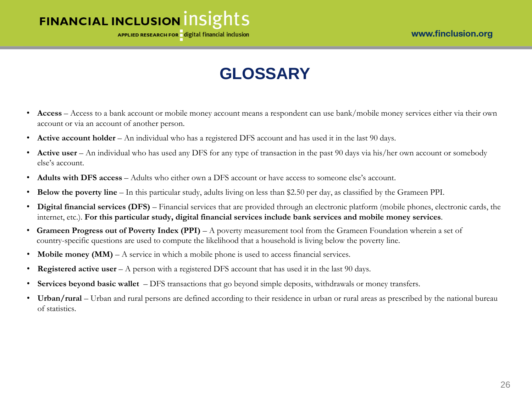

# **GLOSSARY**

- **Access** Access to a bank account or mobile money account means a respondent can use bank/mobile money services either via their own account or via an account of another person.
- **Active account holder** An individual who has a registered DFS account and has used it in the last 90 days.
- **Active user** An individual who has used any DFS for any type of transaction in the past 90 days via his/her own account or somebody else's account.
- **Adults with DFS access** Adults who either own a DFS account or have access to someone else's account.
- **Below the poverty line**  In this particular study, adults living on less than \$2.50 per day, as classified by the Grameen PPI.
- **Digital financial services (DFS)** Financial services that are provided through an electronic platform (mobile phones, electronic cards, the internet, etc.). **For this particular study, digital financial services include bank services and mobile money services**.
- **Grameen Progress out of Poverty Index (PPI)**  A poverty measurement tool from the Grameen Foundation wherein a set of country-specific questions are used to compute the likelihood that a household is living below the poverty line.
- **Mobile money (MM)** A service in which a mobile phone is used to access financial services.
- **Registered active user** A person with a registered DFS account that has used it in the last 90 days.
- **Services beyond basic wallet**  DFS transactions that go beyond simple deposits, withdrawals or money transfers.
- Urban/rural Urban and rural persons are defined according to their residence in urban or rural areas as prescribed by the national bureau of statistics.